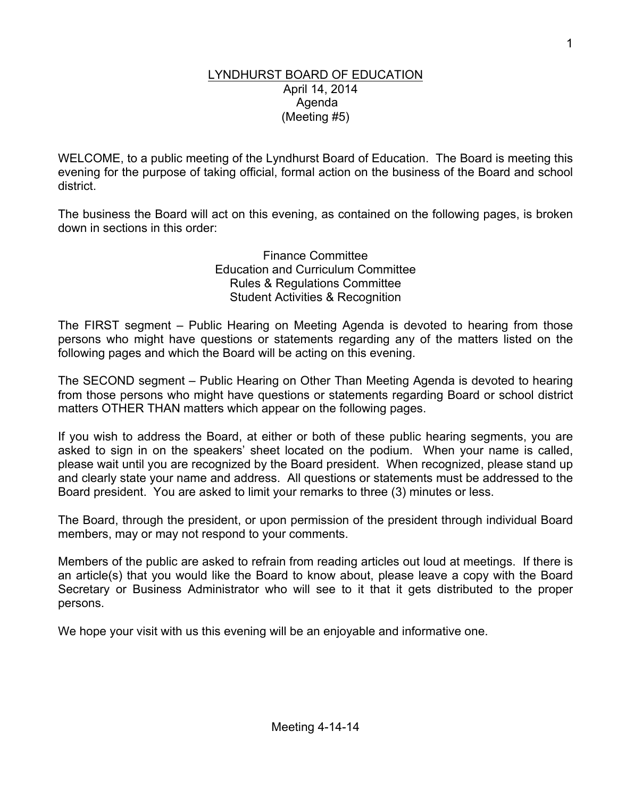#### LYNDHURST BOARD OF EDUCATION April 14, 2014 Agenda (Meeting #5)

WELCOME, to a public meeting of the Lyndhurst Board of Education. The Board is meeting this evening for the purpose of taking official, formal action on the business of the Board and school district.

The business the Board will act on this evening, as contained on the following pages, is broken down in sections in this order:

> Finance Committee Education and Curriculum Committee Rules & Regulations Committee Student Activities & Recognition

The FIRST segment – Public Hearing on Meeting Agenda is devoted to hearing from those persons who might have questions or statements regarding any of the matters listed on the following pages and which the Board will be acting on this evening.

The SECOND segment – Public Hearing on Other Than Meeting Agenda is devoted to hearing from those persons who might have questions or statements regarding Board or school district matters OTHER THAN matters which appear on the following pages.

If you wish to address the Board, at either or both of these public hearing segments, you are asked to sign in on the speakers' sheet located on the podium. When your name is called, please wait until you are recognized by the Board president. When recognized, please stand up and clearly state your name and address. All questions or statements must be addressed to the Board president. You are asked to limit your remarks to three (3) minutes or less.

The Board, through the president, or upon permission of the president through individual Board members, may or may not respond to your comments.

Members of the public are asked to refrain from reading articles out loud at meetings. If there is an article(s) that you would like the Board to know about, please leave a copy with the Board Secretary or Business Administrator who will see to it that it gets distributed to the proper persons.

We hope your visit with us this evening will be an enjoyable and informative one.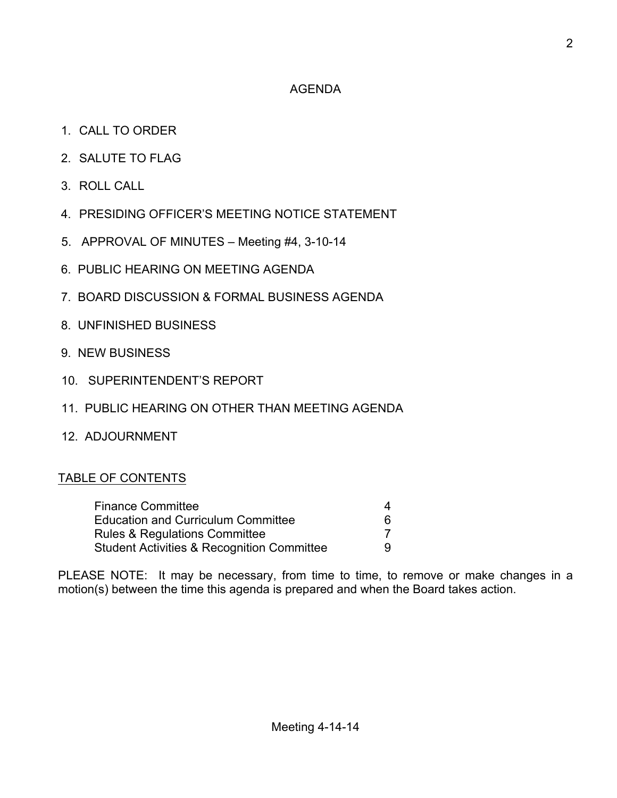## AGENDA

- 1. CALL TO ORDER
- 2. SALUTE TO FLAG
- 3. ROLL CALL
- 4. PRESIDING OFFICER'S MEETING NOTICE STATEMENT
- 5. APPROVAL OF MINUTES Meeting #4, 3-10-14
- 6. PUBLIC HEARING ON MEETING AGENDA
- 7. BOARD DISCUSSION & FORMAL BUSINESS AGENDA
- 8. UNFINISHED BUSINESS
- 9. NEW BUSINESS
- 10. SUPERINTENDENT'S REPORT
- 11. PUBLIC HEARING ON OTHER THAN MEETING AGENDA
- 12. ADJOURNMENT

# TABLE OF CONTENTS

| <b>Finance Committee</b>                              | 4 |  |
|-------------------------------------------------------|---|--|
| <b>Education and Curriculum Committee</b>             | 6 |  |
| <b>Rules &amp; Regulations Committee</b>              |   |  |
| <b>Student Activities &amp; Recognition Committee</b> | 9 |  |

PLEASE NOTE: It may be necessary, from time to time, to remove or make changes in a motion(s) between the time this agenda is prepared and when the Board takes action.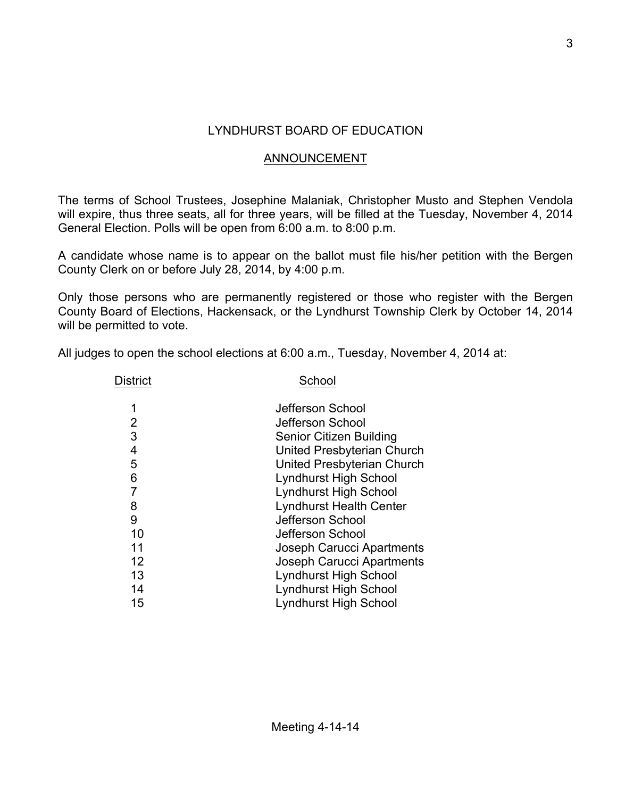## LYNDHURST BOARD OF EDUCATION

## ANNOUNCEMENT

The terms of School Trustees, Josephine Malaniak, Christopher Musto and Stephen Vendola will expire, thus three seats, all for three years, will be filled at the Tuesday, November 4, 2014 General Election. Polls will be open from 6:00 a.m. to 8:00 p.m.

A candidate whose name is to appear on the ballot must file his/her petition with the Bergen County Clerk on or before July 28, 2014, by 4:00 p.m.

Only those persons who are permanently registered or those who register with the Bergen County Board of Elections, Hackensack, or the Lyndhurst Township Clerk by October 14, 2014 will be permitted to vote.

All judges to open the school elections at 6:00 a.m., Tuesday, November 4, 2014 at:

| <b>District</b> | School                           |  |
|-----------------|----------------------------------|--|
| 1               | Jefferson School                 |  |
| 2               | Jefferson School                 |  |
| 3               | Senior Citizen Building          |  |
| 4               | United Presbyterian Church       |  |
| 5               | United Presbyterian Church       |  |
| 6               | <b>Lyndhurst High School</b>     |  |
| $\overline{7}$  | <b>Lyndhurst High School</b>     |  |
| 8               | <b>Lyndhurst Health Center</b>   |  |
| 9               | Jefferson School                 |  |
| 10              | Jefferson School                 |  |
| 11              | Joseph Carucci Apartments        |  |
| 12              | <b>Joseph Carucci Apartments</b> |  |
| 13              | <b>Lyndhurst High School</b>     |  |
| 14              | <b>Lyndhurst High School</b>     |  |
| 15              | <b>Lyndhurst High School</b>     |  |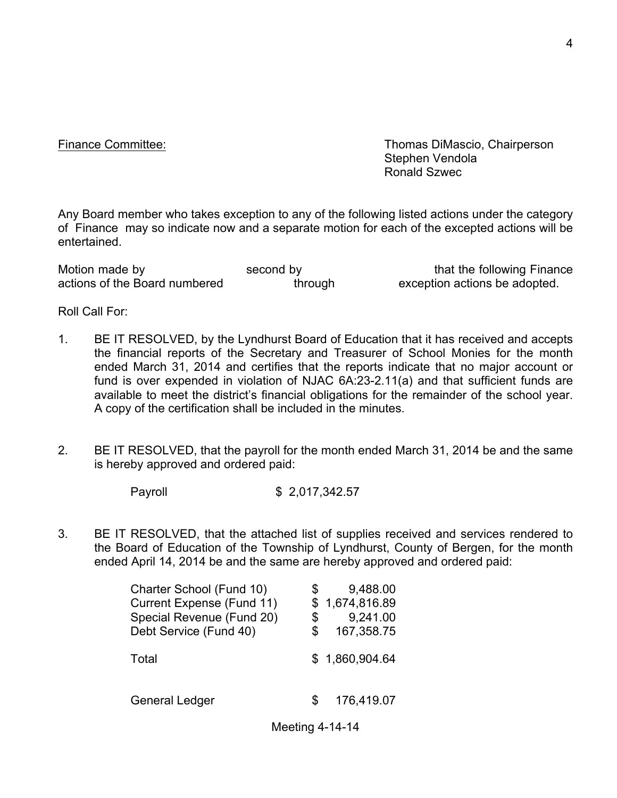Finance Committee: Thomas DiMascio, Chairperson Stephen Vendola Ronald Szwec

Any Board member who takes exception to any of the following listed actions under the category of Finance may so indicate now and a separate motion for each of the excepted actions will be entertained.

| Motion made by                | second by | that the following Finance    |
|-------------------------------|-----------|-------------------------------|
| actions of the Board numbered | through   | exception actions be adopted. |

Roll Call For:

- 1. BE IT RESOLVED, by the Lyndhurst Board of Education that it has received and accepts the financial reports of the Secretary and Treasurer of School Monies for the month ended March 31, 2014 and certifies that the reports indicate that no major account or fund is over expended in violation of NJAC 6A:23-2.11(a) and that sufficient funds are available to meet the district's financial obligations for the remainder of the school year. A copy of the certification shall be included in the minutes.
- 2. BE IT RESOLVED, that the payroll for the month ended March 31, 2014 be and the same is hereby approved and ordered paid:

Payroll \$ 2,017,342.57

3. BE IT RESOLVED, that the attached list of supplies received and services rendered to the Board of Education of the Township of Lyndhurst, County of Bergen, for the month ended April 14, 2014 be and the same are hereby approved and ordered paid:

| Charter School (Fund 10)  | S  | 9,488.00       |
|---------------------------|----|----------------|
| Current Expense (Fund 11) |    | \$1,674,816.89 |
| Special Revenue (Fund 20) | \$ | 9,241.00       |
| Debt Service (Fund 40)    | S  | 167,358.75     |
| Total                     |    | \$1,860,904.64 |
|                           |    |                |

General Ledger \$ 176,419.07

Meeting 4-14-14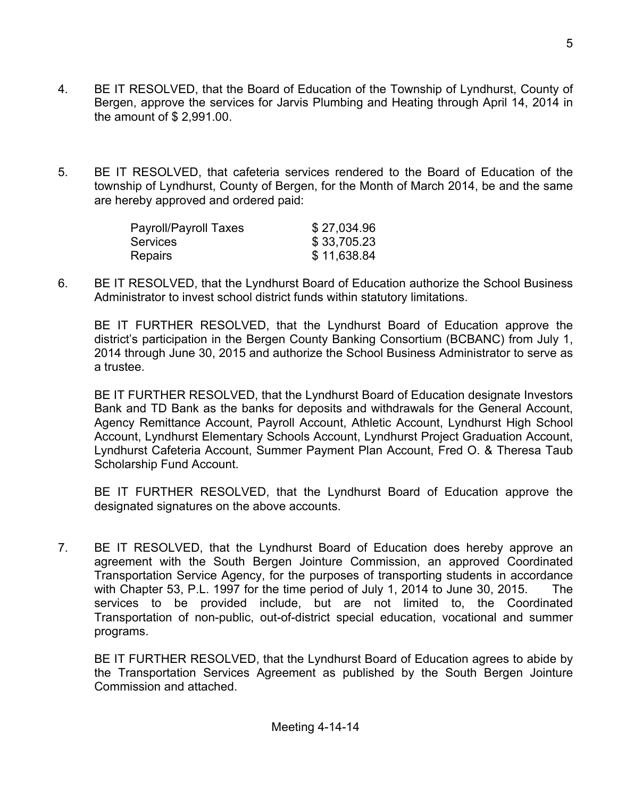- 4. BE IT RESOLVED, that the Board of Education of the Township of Lyndhurst, County of Bergen, approve the services for Jarvis Plumbing and Heating through April 14, 2014 in the amount of \$ 2,991.00.
- 5. BE IT RESOLVED, that cafeteria services rendered to the Board of Education of the township of Lyndhurst, County of Bergen, for the Month of March 2014, be and the same are hereby approved and ordered paid:

| Payroll/Payroll Taxes | \$27,034.96 |
|-----------------------|-------------|
| <b>Services</b>       | \$33,705.23 |
| <b>Repairs</b>        | \$11,638.84 |

6. BE IT RESOLVED, that the Lyndhurst Board of Education authorize the School Business Administrator to invest school district funds within statutory limitations.

BE IT FURTHER RESOLVED, that the Lyndhurst Board of Education approve the district's participation in the Bergen County Banking Consortium (BCBANC) from July 1, 2014 through June 30, 2015 and authorize the School Business Administrator to serve as a trustee.

BE IT FURTHER RESOLVED, that the Lyndhurst Board of Education designate Investors Bank and TD Bank as the banks for deposits and withdrawals for the General Account, Agency Remittance Account, Payroll Account, Athletic Account, Lyndhurst High School Account, Lyndhurst Elementary Schools Account, Lyndhurst Project Graduation Account, Lyndhurst Cafeteria Account, Summer Payment Plan Account, Fred O. & Theresa Taub Scholarship Fund Account.

BE IT FURTHER RESOLVED, that the Lyndhurst Board of Education approve the designated signatures on the above accounts.

7. BE IT RESOLVED, that the Lyndhurst Board of Education does hereby approve an agreement with the South Bergen Jointure Commission, an approved Coordinated Transportation Service Agency, for the purposes of transporting students in accordance with Chapter 53, P.L. 1997 for the time period of July 1, 2014 to June 30, 2015. The services to be provided include, but are not limited to, the Coordinated Transportation of non-public, out-of-district special education, vocational and summer programs.

BE IT FURTHER RESOLVED, that the Lyndhurst Board of Education agrees to abide by the Transportation Services Agreement as published by the South Bergen Jointure Commission and attached.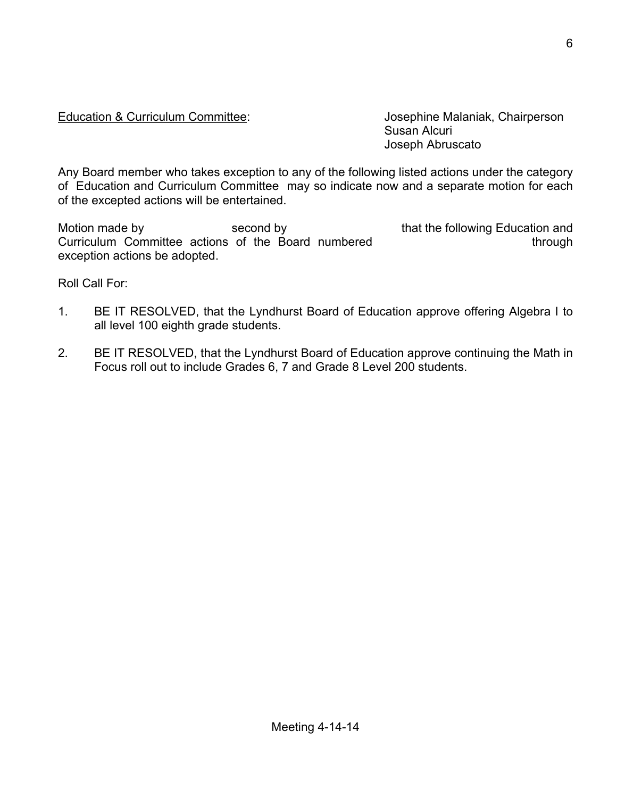#### Education & Curriculum Committee: Josephine Malaniak, Chairperson

Susan Alcuri Joseph Abruscato

Any Board member who takes exception to any of the following listed actions under the category of Education and Curriculum Committee may so indicate now and a separate motion for each of the excepted actions will be entertained.

Motion made by second by second by that the following Education and Curriculum Committee actions of the Board numbered through through exception actions be adopted.

Roll Call For:

- 1. BE IT RESOLVED, that the Lyndhurst Board of Education approve offering Algebra I to all level 100 eighth grade students.
- 2. BE IT RESOLVED, that the Lyndhurst Board of Education approve continuing the Math in Focus roll out to include Grades 6, 7 and Grade 8 Level 200 students.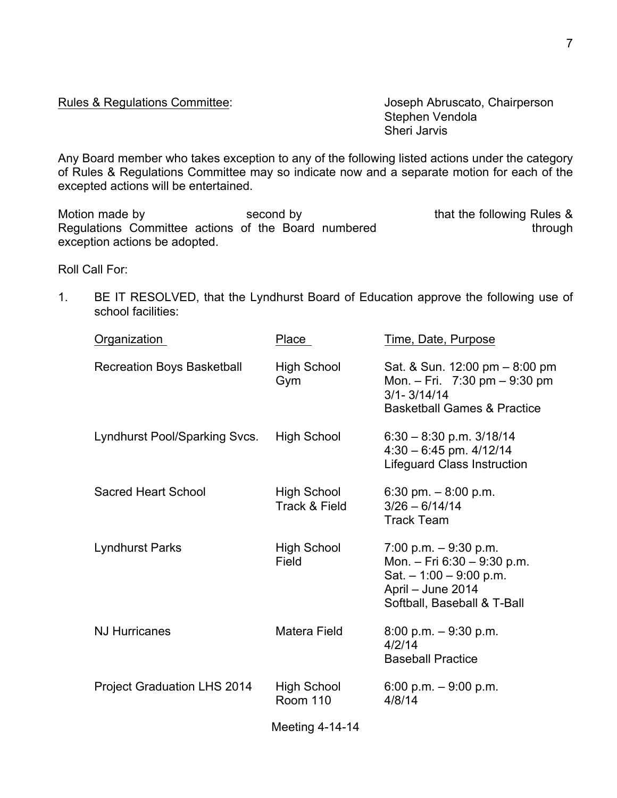#### Rules & Regulations Committee: Joseph Abruscato, Chairperson

Stephen Vendola Sheri Jarvis

Any Board member who takes exception to any of the following listed actions under the category of Rules & Regulations Committee may so indicate now and a separate motion for each of the excepted actions will be entertained.

Motion made by Second by Second by that the following Rules & Regulations Committee actions of the Board numbered through exception actions be adopted.

Roll Call For:

1. BE IT RESOLVED, that the Lyndhurst Board of Education approve the following use of school facilities:

| <b>Organization</b>                | Place                          | Time, Date, Purpose                                                                                                                   |
|------------------------------------|--------------------------------|---------------------------------------------------------------------------------------------------------------------------------------|
| <b>Recreation Boys Basketball</b>  | <b>High School</b><br>Gym      | Sat. & Sun. 12:00 pm - 8:00 pm<br>Mon. $-$ Fri. 7:30 pm $-$ 9:30 pm<br>$3/1 - 3/14/14$<br><b>Basketball Games &amp; Practice</b>      |
| Lyndhurst Pool/Sparking Svcs.      | <b>High School</b>             | $6:30 - 8:30$ p.m. $3/18/14$<br>$4:30 - 6:45$ pm. $4/12/14$<br><b>Lifeguard Class Instruction</b>                                     |
| <b>Sacred Heart School</b>         | High School<br>Track & Field   | 6:30 pm. $-8:00$ p.m.<br>$3/26 - 6/14/14$<br><b>Track Team</b>                                                                        |
| <b>Lyndhurst Parks</b>             | <b>High School</b><br>Field    | 7:00 p.m. $-9:30$ p.m.<br>Mon. - Fri 6:30 - 9:30 p.m.<br>Sat. $-1:00 - 9:00$ p.m.<br>April - June 2014<br>Softball, Baseball & T-Ball |
| <b>NJ Hurricanes</b>               | <b>Matera Field</b>            | $8:00$ p.m. $-9:30$ p.m.<br>4/2/14<br><b>Baseball Practice</b>                                                                        |
| <b>Project Graduation LHS 2014</b> | High School<br><b>Room 110</b> | 6:00 p.m. $-9:00$ p.m.<br>4/8/14                                                                                                      |
|                                    | Meeting 4-14-14                |                                                                                                                                       |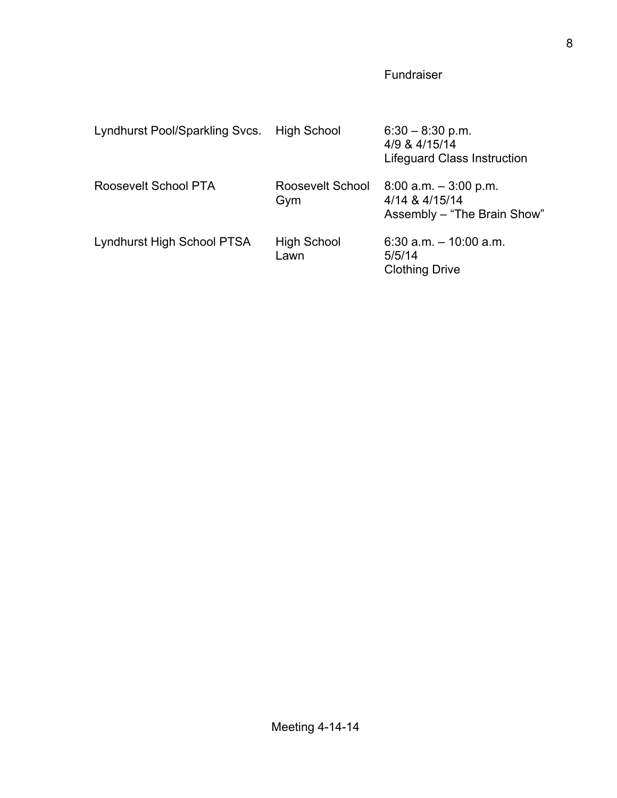# Fundraiser

| Lyndhurst Pool/Sparkling Svcs. | High School             | $6:30 - 8:30$ p.m.<br>4/9 & 4/15/14<br><b>Lifeguard Class Instruction</b> |
|--------------------------------|-------------------------|---------------------------------------------------------------------------|
| Roosevelt School PTA           | Roosevelt School<br>Gym | $8.00$ a.m. $-3.00$ p.m.<br>4/14 & 4/15/14<br>Assembly - "The Brain Show" |
| Lyndhurst High School PTSA     | High School<br>Lawn     | 6:30 $a.m. - 10:00 a.m.$<br>5/5/14<br><b>Clothing Drive</b>               |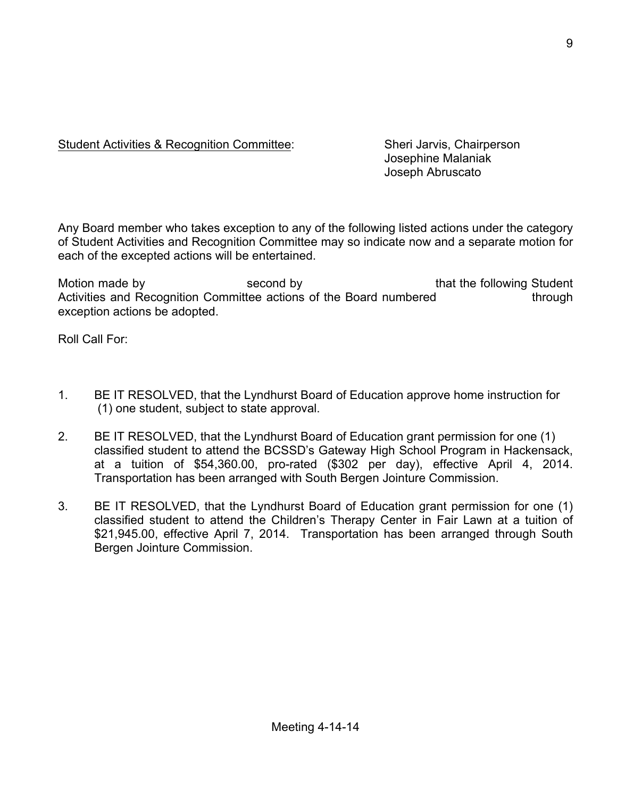## Student Activities & Recognition Committee: Sheri Jarvis, Chairperson

Josephine Malaniak Joseph Abruscato

Any Board member who takes exception to any of the following listed actions under the category of Student Activities and Recognition Committee may so indicate now and a separate motion for each of the excepted actions will be entertained.

Motion made by second by second by that the following Student Activities and Recognition Committee actions of the Board numbered through exception actions be adopted.

Roll Call For:

- 1. BE IT RESOLVED, that the Lyndhurst Board of Education approve home instruction for (1) one student, subject to state approval.
- 2. BE IT RESOLVED, that the Lyndhurst Board of Education grant permission for one (1) classified student to attend the BCSSD's Gateway High School Program in Hackensack, at a tuition of \$54,360.00, pro-rated (\$302 per day), effective April 4, 2014. Transportation has been arranged with South Bergen Jointure Commission.
- 3. BE IT RESOLVED, that the Lyndhurst Board of Education grant permission for one (1) classified student to attend the Children's Therapy Center in Fair Lawn at a tuition of \$21,945.00, effective April 7, 2014. Transportation has been arranged through South Bergen Jointure Commission.